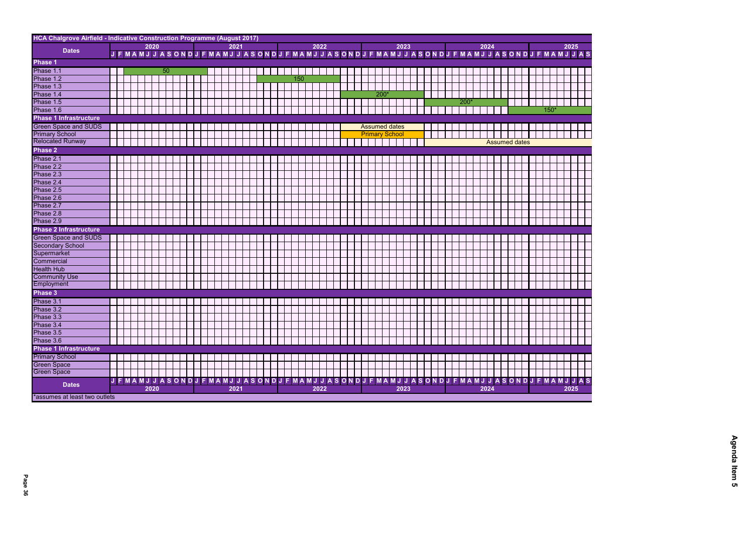| HCA Chalgrove Airfield - Indicative Construction Programme (August 2017) |  |  |                |      |                 |    |  |                                               |  |  |      |   |  |  |  |     |      |  |  |  |                       |  |      |  |  |      |        |               |  |      |  |                      |   |        |  |                                                                                                     |  |
|--------------------------------------------------------------------------|--|--|----------------|------|-----------------|----|--|-----------------------------------------------|--|--|------|---|--|--|--|-----|------|--|--|--|-----------------------|--|------|--|--|------|--------|---------------|--|------|--|----------------------|---|--------|--|-----------------------------------------------------------------------------------------------------|--|
|                                                                          |  |  |                | 2020 |                 |    |  |                                               |  |  | 2021 |   |  |  |  |     | 2022 |  |  |  |                       |  | 2023 |  |  |      |        |               |  | 2024 |  |                      |   |        |  | 2025                                                                                                |  |
| <b>Dates</b>                                                             |  |  |                |      |                 |    |  |                                               |  |  |      |   |  |  |  |     |      |  |  |  |                       |  |      |  |  |      |        |               |  |      |  |                      |   |        |  | J F MAMJ J A SONDJ F MAMJ J A SONDJ F MAMJ J A SONDJ F MAMJ J A SONDJ F MAMJ J A SONDJ F MAMJ J A S |  |
| Phase 1                                                                  |  |  |                |      |                 |    |  |                                               |  |  |      |   |  |  |  |     |      |  |  |  |                       |  |      |  |  |      |        |               |  |      |  |                      |   |        |  |                                                                                                     |  |
| Phase 1.1                                                                |  |  |                |      |                 | 50 |  |                                               |  |  |      |   |  |  |  |     |      |  |  |  |                       |  |      |  |  |      |        |               |  |      |  |                      |   |        |  |                                                                                                     |  |
| Phase 1.2                                                                |  |  |                |      |                 |    |  |                                               |  |  |      |   |  |  |  | 150 |      |  |  |  |                       |  |      |  |  |      |        |               |  |      |  |                      |   |        |  |                                                                                                     |  |
| Phase 1.3                                                                |  |  |                |      |                 |    |  |                                               |  |  |      |   |  |  |  |     |      |  |  |  |                       |  |      |  |  |      |        |               |  |      |  |                      |   |        |  |                                                                                                     |  |
| Phase 1.4                                                                |  |  |                |      |                 |    |  |                                               |  |  |      |   |  |  |  |     |      |  |  |  | 200'                  |  |      |  |  |      |        |               |  |      |  |                      |   |        |  |                                                                                                     |  |
| Phase 1.5                                                                |  |  |                |      |                 |    |  |                                               |  |  |      |   |  |  |  |     |      |  |  |  |                       |  |      |  |  |      |        | $200^{\circ}$ |  |      |  |                      |   |        |  |                                                                                                     |  |
| Phase 1.6                                                                |  |  |                |      |                 |    |  |                                               |  |  |      |   |  |  |  |     |      |  |  |  |                       |  |      |  |  |      |        |               |  |      |  |                      |   | $150*$ |  |                                                                                                     |  |
| <b>Phase 1 Infrastructure</b>                                            |  |  |                |      |                 |    |  |                                               |  |  |      |   |  |  |  |     |      |  |  |  |                       |  |      |  |  |      |        |               |  |      |  |                      |   |        |  |                                                                                                     |  |
| <b>Green Space and SUDS</b>                                              |  |  |                |      |                 |    |  |                                               |  |  |      |   |  |  |  |     |      |  |  |  | <b>Assumed dates</b>  |  |      |  |  |      |        |               |  |      |  |                      |   |        |  |                                                                                                     |  |
| <b>Primary School</b>                                                    |  |  |                |      |                 |    |  |                                               |  |  |      |   |  |  |  |     |      |  |  |  | <b>Primary School</b> |  |      |  |  |      |        |               |  |      |  |                      |   |        |  |                                                                                                     |  |
| <b>Relocated Runway</b>                                                  |  |  |                |      |                 |    |  |                                               |  |  |      |   |  |  |  |     |      |  |  |  |                       |  |      |  |  |      |        |               |  |      |  | <b>Assumed dates</b> |   |        |  |                                                                                                     |  |
| <b>Phase 2</b>                                                           |  |  |                |      |                 |    |  |                                               |  |  |      |   |  |  |  |     |      |  |  |  |                       |  |      |  |  |      |        |               |  |      |  |                      |   |        |  |                                                                                                     |  |
|                                                                          |  |  |                |      |                 |    |  |                                               |  |  |      |   |  |  |  |     |      |  |  |  |                       |  |      |  |  |      |        |               |  |      |  |                      |   |        |  |                                                                                                     |  |
| Phase 2.1                                                                |  |  |                |      |                 |    |  |                                               |  |  |      |   |  |  |  |     |      |  |  |  |                       |  |      |  |  |      |        |               |  |      |  |                      |   |        |  |                                                                                                     |  |
| Phase 2.2                                                                |  |  |                |      |                 |    |  |                                               |  |  |      |   |  |  |  |     |      |  |  |  |                       |  |      |  |  |      |        |               |  |      |  |                      |   |        |  |                                                                                                     |  |
| Phase 2.3                                                                |  |  |                |      |                 |    |  |                                               |  |  |      |   |  |  |  |     |      |  |  |  |                       |  |      |  |  |      |        |               |  |      |  |                      |   |        |  |                                                                                                     |  |
| Phase 2.4                                                                |  |  |                |      |                 |    |  |                                               |  |  |      |   |  |  |  |     |      |  |  |  |                       |  |      |  |  |      |        |               |  |      |  |                      |   |        |  |                                                                                                     |  |
| Phase 2.5                                                                |  |  |                |      |                 |    |  |                                               |  |  |      |   |  |  |  |     |      |  |  |  |                       |  |      |  |  |      |        |               |  |      |  |                      |   |        |  |                                                                                                     |  |
| Phase 2.6                                                                |  |  |                |      |                 |    |  |                                               |  |  |      |   |  |  |  |     |      |  |  |  |                       |  |      |  |  |      |        |               |  |      |  |                      |   |        |  |                                                                                                     |  |
| Phase 2.7                                                                |  |  |                |      |                 |    |  |                                               |  |  |      |   |  |  |  |     |      |  |  |  |                       |  |      |  |  |      |        |               |  |      |  |                      |   |        |  |                                                                                                     |  |
| Phase 2.8                                                                |  |  |                |      |                 |    |  |                                               |  |  |      |   |  |  |  |     |      |  |  |  |                       |  |      |  |  |      |        |               |  |      |  |                      |   |        |  |                                                                                                     |  |
| Phase 2.9                                                                |  |  |                |      |                 |    |  |                                               |  |  |      |   |  |  |  |     |      |  |  |  |                       |  |      |  |  |      |        |               |  |      |  |                      |   |        |  |                                                                                                     |  |
| <b>Phase 2 Infrastructure</b>                                            |  |  |                |      |                 |    |  |                                               |  |  |      |   |  |  |  |     |      |  |  |  |                       |  |      |  |  |      |        |               |  |      |  |                      |   |        |  |                                                                                                     |  |
| <b>Green Space and SUDS</b>                                              |  |  |                |      |                 |    |  |                                               |  |  |      |   |  |  |  |     |      |  |  |  |                       |  |      |  |  |      |        |               |  |      |  |                      |   |        |  |                                                                                                     |  |
|                                                                          |  |  |                |      |                 |    |  |                                               |  |  |      |   |  |  |  |     |      |  |  |  |                       |  |      |  |  |      |        |               |  |      |  |                      |   |        |  |                                                                                                     |  |
|                                                                          |  |  |                |      |                 |    |  |                                               |  |  |      |   |  |  |  |     |      |  |  |  |                       |  |      |  |  |      |        |               |  |      |  |                      |   |        |  |                                                                                                     |  |
| Secondary School<br>Supermarket<br>Commercial                            |  |  |                |      |                 |    |  |                                               |  |  |      |   |  |  |  |     |      |  |  |  |                       |  |      |  |  |      |        |               |  |      |  |                      |   |        |  |                                                                                                     |  |
| <b>Health Hub</b>                                                        |  |  |                |      |                 |    |  |                                               |  |  |      |   |  |  |  |     |      |  |  |  |                       |  |      |  |  |      |        |               |  |      |  |                      |   |        |  |                                                                                                     |  |
| <b>Community Use</b>                                                     |  |  |                |      |                 |    |  |                                               |  |  |      |   |  |  |  |     |      |  |  |  |                       |  |      |  |  |      |        |               |  |      |  |                      |   |        |  |                                                                                                     |  |
| Employment                                                               |  |  |                |      |                 |    |  |                                               |  |  |      |   |  |  |  |     |      |  |  |  |                       |  |      |  |  |      |        |               |  |      |  |                      |   |        |  |                                                                                                     |  |
| Phase 3                                                                  |  |  |                |      |                 |    |  |                                               |  |  |      |   |  |  |  |     |      |  |  |  |                       |  |      |  |  |      |        |               |  |      |  |                      |   |        |  |                                                                                                     |  |
| Phase 3.1                                                                |  |  |                |      |                 |    |  |                                               |  |  |      |   |  |  |  |     |      |  |  |  |                       |  |      |  |  |      |        |               |  |      |  |                      |   |        |  |                                                                                                     |  |
| Phase 3.2                                                                |  |  |                |      |                 |    |  |                                               |  |  |      |   |  |  |  |     |      |  |  |  |                       |  |      |  |  |      |        |               |  |      |  |                      |   |        |  |                                                                                                     |  |
| Phase 3.3<br>Phase 3.4                                                   |  |  |                |      | <b>Contract</b> |    |  | .                                             |  |  |      | . |  |  |  | .   |      |  |  |  |                       |  |      |  |  | a ka | a kara |               |  |      |  |                      | . |        |  |                                                                                                     |  |
|                                                                          |  |  |                |      |                 |    |  |                                               |  |  |      |   |  |  |  |     |      |  |  |  |                       |  |      |  |  |      |        |               |  |      |  |                      |   |        |  |                                                                                                     |  |
| Phase 3.5                                                                |  |  |                |      |                 |    |  |                                               |  |  |      |   |  |  |  |     |      |  |  |  |                       |  |      |  |  |      |        |               |  |      |  |                      |   |        |  |                                                                                                     |  |
| Phase 3.6                                                                |  |  |                |      |                 |    |  |                                               |  |  |      |   |  |  |  |     |      |  |  |  |                       |  |      |  |  |      |        |               |  |      |  |                      |   |        |  |                                                                                                     |  |
| Phase 1 Infrastructure                                                   |  |  |                |      |                 |    |  |                                               |  |  |      |   |  |  |  |     |      |  |  |  |                       |  |      |  |  |      |        |               |  |      |  |                      |   |        |  |                                                                                                     |  |
| <b>Primary School</b>                                                    |  |  |                |      |                 |    |  |                                               |  |  |      |   |  |  |  |     |      |  |  |  |                       |  |      |  |  |      |        |               |  |      |  |                      |   |        |  |                                                                                                     |  |
| <b>Green Space</b>                                                       |  |  |                |      |                 |    |  |                                               |  |  |      |   |  |  |  |     |      |  |  |  |                       |  |      |  |  |      |        |               |  |      |  |                      |   |        |  |                                                                                                     |  |
| <b>Green Space</b>                                                       |  |  |                |      |                 |    |  |                                               |  |  |      |   |  |  |  |     |      |  |  |  |                       |  |      |  |  |      |        |               |  |      |  |                      |   |        |  |                                                                                                     |  |
|                                                                          |  |  | <b>JFMAMJJ</b> |      |                 |    |  | ASONDJFMAMJJASONDJFMAMJJASONDJFMAMJJASONDJFMA |  |  |      |   |  |  |  |     |      |  |  |  |                       |  |      |  |  |      |        |               |  |      |  |                      |   |        |  | <b>ASONDJFMAMJJAS</b>                                                                               |  |
| <b>Dates</b>                                                             |  |  |                | 2020 |                 |    |  |                                               |  |  | 2021 |   |  |  |  |     | 2022 |  |  |  |                       |  | 2023 |  |  |      |        |               |  | 2024 |  |                      |   |        |  | 2025                                                                                                |  |
| *assumes at least two outlets                                            |  |  |                |      |                 |    |  |                                               |  |  |      |   |  |  |  |     |      |  |  |  |                       |  |      |  |  |      |        |               |  |      |  |                      |   |        |  |                                                                                                     |  |



**Page 36 Agenda Item 5**